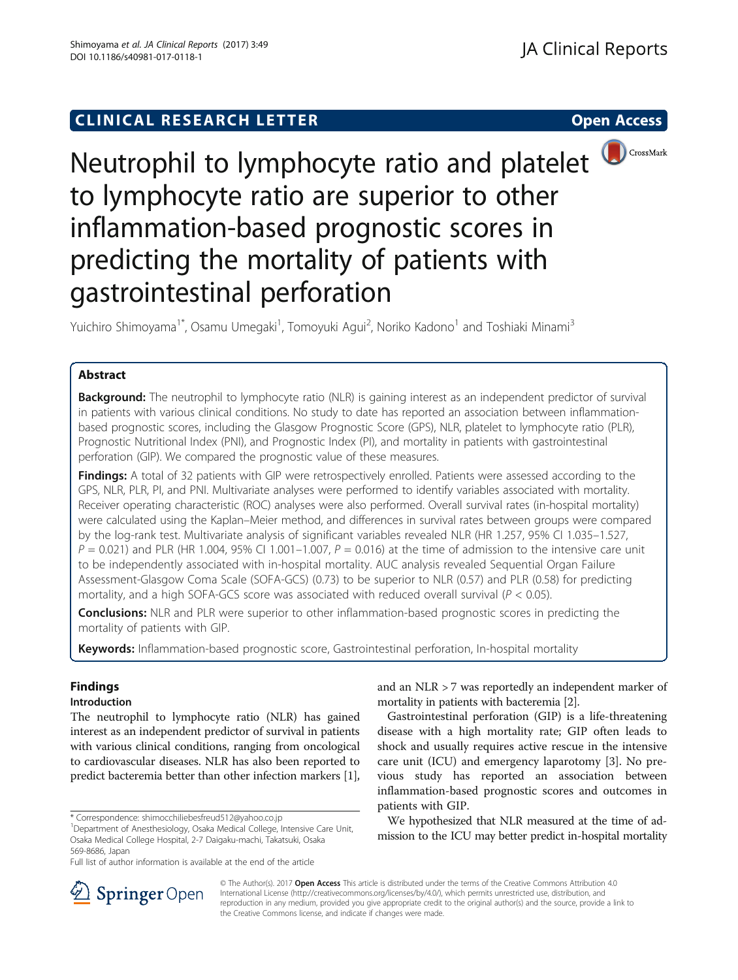# **CLINICAL RESEARCH LETTER CLINICAL RESEARCH LETTER Open Access**



Neutrophil to lymphocyte ratio and platelet **D**CrossMark to lymphocyte ratio are superior to other inflammation-based prognostic scores in predicting the mortality of patients with gastrointestinal perforation

Yuichiro Shimoyama<sup>1\*</sup>, Osamu Umegaki<sup>1</sup>, Tomoyuki Agui<sup>2</sup>, Noriko Kadono<sup>1</sup> and Toshiaki Minami<sup>3</sup>

# Abstract

**Background:** The neutrophil to lymphocyte ratio (NLR) is gaining interest as an independent predictor of survival in patients with various clinical conditions. No study to date has reported an association between inflammationbased prognostic scores, including the Glasgow Prognostic Score (GPS), NLR, platelet to lymphocyte ratio (PLR), Prognostic Nutritional Index (PNI), and Prognostic Index (PI), and mortality in patients with gastrointestinal perforation (GIP). We compared the prognostic value of these measures.

Findings: A total of 32 patients with GIP were retrospectively enrolled. Patients were assessed according to the GPS, NLR, PLR, PI, and PNI. Multivariate analyses were performed to identify variables associated with mortality. Receiver operating characteristic (ROC) analyses were also performed. Overall survival rates (in-hospital mortality) were calculated using the Kaplan–Meier method, and differences in survival rates between groups were compared by the log-rank test. Multivariate analysis of significant variables revealed NLR (HR 1.257, 95% CI 1.035–1.527,  $P = 0.021$ ) and PLR (HR 1.004, 95% CI 1.001–1.007,  $P = 0.016$ ) at the time of admission to the intensive care unit to be independently associated with in-hospital mortality. AUC analysis revealed Sequential Organ Failure Assessment-Glasgow Coma Scale (SOFA-GCS) (0.73) to be superior to NLR (0.57) and PLR (0.58) for predicting mortality, and a high SOFA-GCS score was associated with reduced overall survival ( $P < 0.05$ ).

**Conclusions:** NLR and PLR were superior to other inflammation-based prognostic scores in predicting the mortality of patients with GIP.

Keywords: Inflammation-based prognostic score, Gastrointestinal perforation, In-hospital mortality

# Findings

# Introduction

The neutrophil to lymphocyte ratio (NLR) has gained interest as an independent predictor of survival in patients with various clinical conditions, ranging from oncological to cardiovascular diseases. NLR has also been reported to predict bacteremia better than other infection markers [[1](#page-4-0)],

and an NLR > 7 was reportedly an independent marker of mortality in patients with bacteremia [\[2\]](#page-4-0).

Gastrointestinal perforation (GIP) is a life-threatening disease with a high mortality rate; GIP often leads to shock and usually requires active rescue in the intensive care unit (ICU) and emergency laparotomy [[3\]](#page-4-0). No previous study has reported an association between inflammation-based prognostic scores and outcomes in patients with GIP.

We hypothesized that NLR measured at the time of admission to the ICU may better predict in-hospital mortality



© The Author(s). 2017 **Open Access** This article is distributed under the terms of the Creative Commons Attribution 4.0 International License ([http://creativecommons.org/licenses/by/4.0/\)](http://creativecommons.org/licenses/by/4.0/), which permits unrestricted use, distribution, and reproduction in any medium, provided you give appropriate credit to the original author(s) and the source, provide a link to the Creative Commons license, and indicate if changes were made.

<sup>\*</sup> Correspondence: [shimocchiliebesfreud512@yahoo.co.jp](mailto:shimocchiliebesfreud512@yahoo.co.jp) <sup>1</sup>

<sup>&</sup>lt;sup>1</sup>Department of Anesthesiology, Osaka Medical College, Intensive Care Unit, Osaka Medical College Hospital, 2-7 Daigaku-machi, Takatsuki, Osaka 569-8686, Japan

Full list of author information is available at the end of the article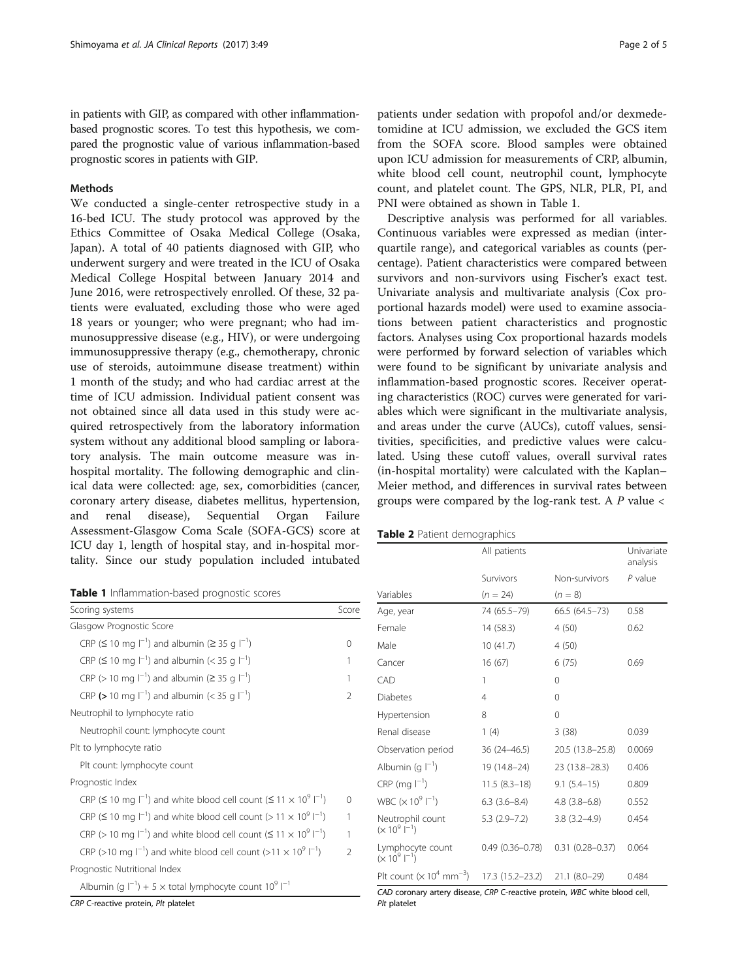<span id="page-1-0"></span>in patients with GIP, as compared with other inflammationbased prognostic scores. To test this hypothesis, we compared the prognostic value of various inflammation-based prognostic scores in patients with GIP.

### **Methods**

We conducted a single-center retrospective study in a 16-bed ICU. The study protocol was approved by the Ethics Committee of Osaka Medical College (Osaka, Japan). A total of 40 patients diagnosed with GIP, who underwent surgery and were treated in the ICU of Osaka Medical College Hospital between January 2014 and June 2016, were retrospectively enrolled. Of these, 32 patients were evaluated, excluding those who were aged 18 years or younger; who were pregnant; who had immunosuppressive disease (e.g., HIV), or were undergoing immunosuppressive therapy (e.g., chemotherapy, chronic use of steroids, autoimmune disease treatment) within 1 month of the study; and who had cardiac arrest at the time of ICU admission. Individual patient consent was not obtained since all data used in this study were acquired retrospectively from the laboratory information system without any additional blood sampling or laboratory analysis. The main outcome measure was inhospital mortality. The following demographic and clinical data were collected: age, sex, comorbidities (cancer, coronary artery disease, diabetes mellitus, hypertension, and renal disease), Sequential Organ Failure Assessment-Glasgow Coma Scale (SOFA-GCS) score at ICU day 1, length of hospital stay, and in-hospital mortality. Since our study population included intubated

| Table 1 Inflammation-based prognostic scores |  |  |
|----------------------------------------------|--|--|
|----------------------------------------------|--|--|

| Scoring systems                                                                                          | Score          |
|----------------------------------------------------------------------------------------------------------|----------------|
| Glasgow Prognostic Score                                                                                 |                |
| CRP ( $\leq$ 10 mg $ ^{-1}$ ) and albumin ( $\geq$ 35 g $ ^{-1}$ )                                       | 0              |
| CRP ( $\leq$ 10 mg $ ^{-1}$ ) and albumin (< 35 g $ ^{-1}$ )                                             | 1              |
| CRP (> 10 mg $ ^{-1}$ ) and albumin ( $\geq$ 35 g $ ^{-1}$ )                                             | 1              |
| CRP (> 10 mg $ ^{-1}$ ) and albumin (< 35 g $ ^{-1}$ )                                                   | 2              |
| Neutrophil to lymphocyte ratio                                                                           |                |
| Neutrophil count: lymphocyte count                                                                       |                |
| Plt to lymphocyte ratio                                                                                  |                |
| Plt count: lymphocyte count                                                                              |                |
| Prognostic Index                                                                                         |                |
| CRP ( $\leq$ 10 mg $ ^{-1}$ ) and white blood cell count ( $\leq$ 11 $\times$ 10 <sup>9</sup> $ ^{-1}$ ) | $\Omega$       |
| CRP ( $\leq$ 10 mg $ ^{-1}$ ) and white blood cell count ( $>$ 11 $\times$ 10 <sup>9</sup> $ ^{-1}$ )    | 1              |
| CRP (> 10 mg $ ^{-1}$ ) and white blood cell count ( $\leq 11 \times 10^9$ $ ^{-1}$ )                    | 1              |
| CRP (>10 mg $\vert^{-1}$ ) and white blood cell count (>11 $\times$ 10 <sup>9</sup> $\vert^{-1}$ )       | $\mathfrak{D}$ |
| Prognostic Nutritional Index                                                                             |                |
| Albumin (g $I^{-1}$ ) + 5 x total lymphocyte count 10 <sup>9</sup> $I^{-1}$                              |                |
| CRP C-reactive protein, Plt platelet                                                                     |                |

patients under sedation with propofol and/or dexmedetomidine at ICU admission, we excluded the GCS item from the SOFA score. Blood samples were obtained upon ICU admission for measurements of CRP, albumin, white blood cell count, neutrophil count, lymphocyte count, and platelet count. The GPS, NLR, PLR, PI, and PNI were obtained as shown in Table 1.

Descriptive analysis was performed for all variables. Continuous variables were expressed as median (interquartile range), and categorical variables as counts (percentage). Patient characteristics were compared between survivors and non-survivors using Fischer's exact test. Univariate analysis and multivariate analysis (Cox proportional hazards model) were used to examine associations between patient characteristics and prognostic factors. Analyses using Cox proportional hazards models were performed by forward selection of variables which were found to be significant by univariate analysis and inflammation-based prognostic scores. Receiver operating characteristics (ROC) curves were generated for variables which were significant in the multivariate analysis, and areas under the curve (AUCs), cutoff values, sensitivities, specificities, and predictive values were calculated. Using these cutoff values, overall survival rates (in-hospital mortality) were calculated with the Kaplan– Meier method, and differences in survival rates between groups were compared by the log-rank test. A  $P$  value  $\lt$ 

## Table 2 Patient demographics

|                                                         | All patients        |                     | Univariate<br>analysis |
|---------------------------------------------------------|---------------------|---------------------|------------------------|
|                                                         | Survivors           | Non-survivors       | $P$ value              |
| Variables                                               | $(n = 24)$          | $(n = 8)$           |                        |
| Age, year                                               | 74 (65.5-79)        | 66.5 (64.5-73)      | 0.58                   |
| Female                                                  | 14 (58.3)           | 4(50)               | 0.62                   |
| Male                                                    | 10(41.7)            | 4(50)               |                        |
| Cancer                                                  | 16(67)              | 6 (75)              | 0.69                   |
| CAD                                                     | 1                   | $\Omega$            |                        |
| <b>Diabetes</b>                                         | $\overline{4}$      | $\Omega$            |                        |
| Hypertension                                            | 8                   | 0                   |                        |
| Renal disease                                           | 1(4)                | 3(38)               | 0.039                  |
| Observation period                                      | $36(24 - 46.5)$     | 20.5 (13.8–25.8)    | 0.0069                 |
| Albumin (g $ ^{-1}$ )                                   | 19 (14.8-24)        | 23 (13.8-28.3)      | 0.406                  |
| $CRP$ (mg $ ^{-1}$ )                                    | $11.5(8.3-18)$      | $9.1(5.4-15)$       | 0.809                  |
| WBC $(x 10^9 I^{-1})$                                   | $6.3(3.6-8.4)$      | $4.8(3.8-6.8)$      | 0.552                  |
| Neutrophil count<br>$(x 10^9 \, \text{I}^{-1})$         | $5.3(2.9 - 7.2)$    | $3.8(3.2 - 4.9)$    | 0.454                  |
| Lymphocyte count<br>$(x 10^9 \mid^{-1})$                | $0.49(0.36 - 0.78)$ | $0.31(0.28 - 0.37)$ | 0.064                  |
| Plt count ( $\times$ 10 <sup>4</sup> mm <sup>-3</sup> ) | 17.3 (15.2–23.2)    | $21.1 (8.0 - 29)$   | 0.484                  |

CAD coronary artery disease, CRP C-reactive protein, WBC white blood cell, Plt platelet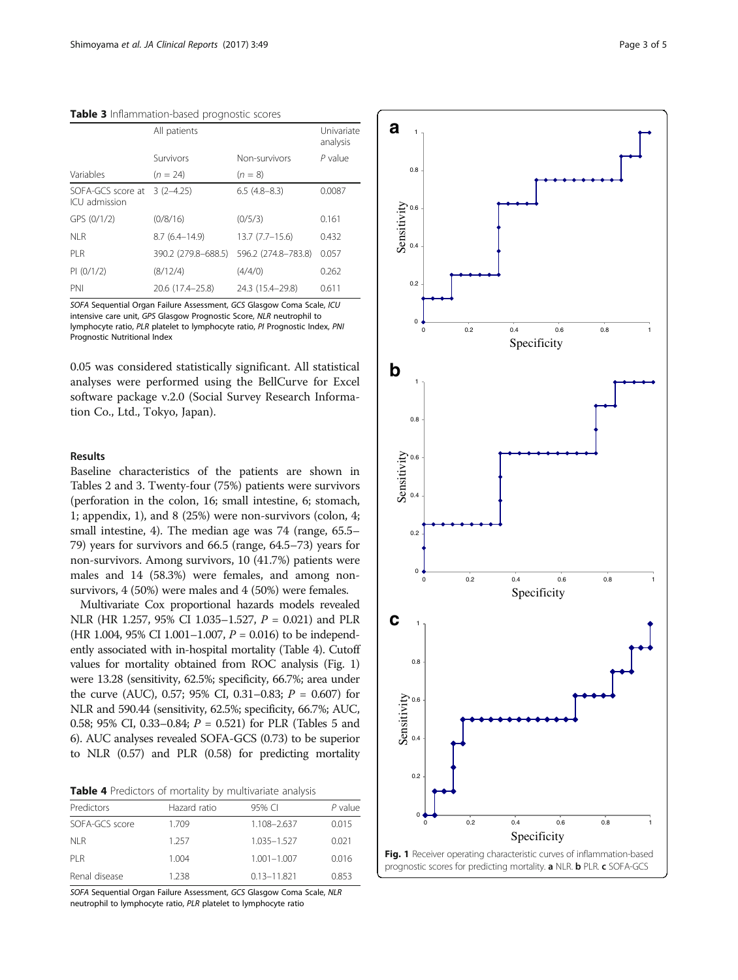| Table 3 Inflammation-based prognostic scores |  |  |
|----------------------------------------------|--|--|
|----------------------------------------------|--|--|

|                                    | All patients        | Univariate<br>analysis |           |
|------------------------------------|---------------------|------------------------|-----------|
|                                    | Survivors           | Non-survivors          | $P$ value |
| Variables                          | $(n = 24)$          | $(n = 8)$              |           |
| SOFA-GCS score at<br>ICU admission | $3(2-4.25)$         | $6.5(4.8-8.3)$         | 0.0087    |
| GPS (0/1/2)                        | (0/8/16)            | (0/5/3)                | 0.161     |
| NI R                               | $8.7(6.4 - 14.9)$   | $13.7 (7.7 - 15.6)$    | 0.432     |
| PI R                               | 390.2 (279.8-688.5) | 596.2 (274.8-783.8)    | 0.057     |
| PI (0/1/2)                         | (8/12/4)            | (4/4/0)                | 0.262     |
| PNI                                | 20.6 (17.4-25.8)    | 24.3 (15.4–29.8)       | 0.611     |

SOFA Sequential Organ Failure Assessment, GCS Glasgow Coma Scale, ICU intensive care unit, GPS Glasgow Prognostic Score, NLR neutrophil to lymphocyte ratio, PLR platelet to lymphocyte ratio, PI Prognostic Index, PNI Prognostic Nutritional Index

0.05 was considered statistically significant. All statistical analyses were performed using the BellCurve for Excel software package v.2.0 (Social Survey Research Information Co., Ltd., Tokyo, Japan).

## Results

Baseline characteristics of the patients are shown in Tables [2](#page-1-0) and 3. Twenty-four (75%) patients were survivors (perforation in the colon, 16; small intestine, 6; stomach, 1; appendix, 1), and 8 (25%) were non-survivors (colon, 4; small intestine, 4). The median age was 74 (range, 65.5– 79) years for survivors and 66.5 (range, 64.5–73) years for non-survivors. Among survivors, 10 (41.7%) patients were males and 14 (58.3%) were females, and among nonsurvivors, 4 (50%) were males and 4 (50%) were females.

Multivariate Cox proportional hazards models revealed NLR (HR 1.257, 95% CI 1.035–1.527, P = 0.021) and PLR (HR 1.004, 95% CI 1.001–1.007,  $P = 0.016$ ) to be independently associated with in-hospital mortality (Table 4). Cutoff values for mortality obtained from ROC analysis (Fig. 1) were 13.28 (sensitivity, 62.5%; specificity, 66.7%; area under the curve (AUC), 0.57; 95% CI, 0.31–0.83;  $P = 0.607$ ) for NLR and 590.44 (sensitivity, 62.5%; specificity, 66.7%; AUC, 0.58; 95% CI, 0.33–0.84;  $P = 0.521$ ) for PLR (Tables [5](#page-3-0) and [6](#page-3-0)). AUC analyses revealed SOFA-GCS (0.73) to be superior to NLR (0.57) and PLR (0.58) for predicting mortality

|  |  |  |  |  |  | Table 4 Predictors of mortality by multivariate analysis |  |
|--|--|--|--|--|--|----------------------------------------------------------|--|
|--|--|--|--|--|--|----------------------------------------------------------|--|

| Predictors     | Hazard ratio | 95% CI          | $P$ value |
|----------------|--------------|-----------------|-----------|
| SOFA-GCS score | 1.709        | 1.108-2.637     | 0.015     |
| NI R           | 1 257        | 1.035-1.527     | 0.021     |
| PI R           | 1.004        | $1.001 - 1.007$ | 0.016     |
| Renal disease  | 1 238        | $0.13 - 11.821$ | 0.853     |

SOFA Sequential Organ Failure Assessment, GCS Glasgow Coma Scale, NLR neutrophil to lymphocyte ratio, PLR platelet to lymphocyte ratio

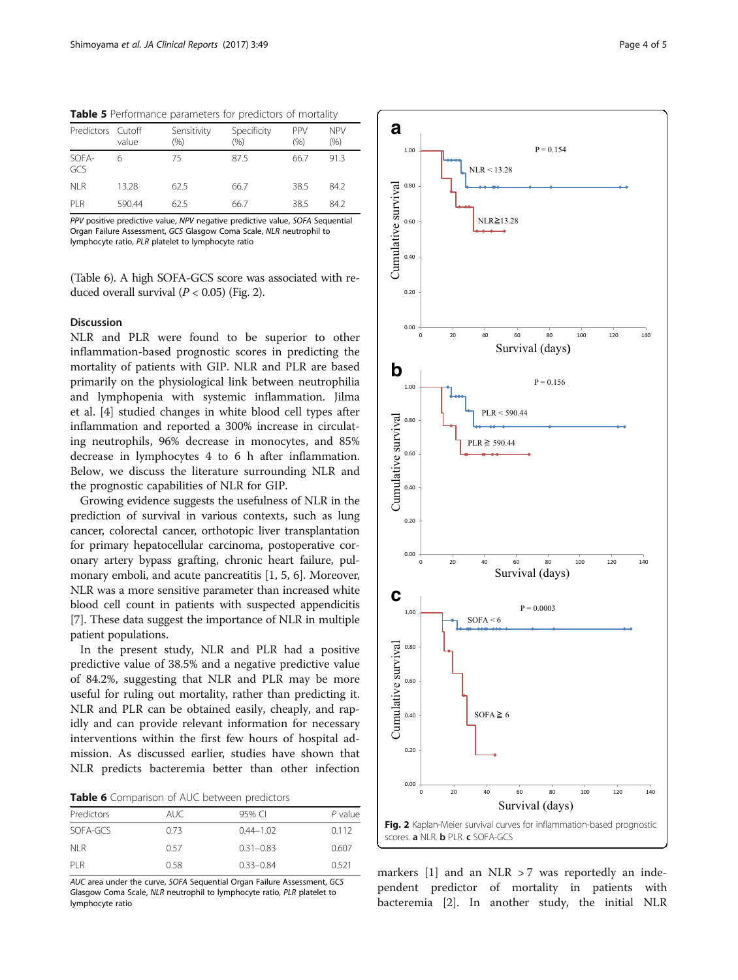<span id="page-3-0"></span>

| Table 5 Performance parameters for predictors of mortality |  |
|------------------------------------------------------------|--|
|------------------------------------------------------------|--|

| Predictors Cutoff | value  | Sensitivity<br>(%) | Specificity<br>$(\% )$ | <b>PPV</b><br>$(\% )$ | <b>NPV</b><br>$(\% )$ |
|-------------------|--------|--------------------|------------------------|-----------------------|-----------------------|
| SOFA-<br>GCS      | 6      | 75                 | 87.5                   | 66.7                  | 91.3                  |
| NI R              | 13.28  | 62.5               | 66.7                   | 38.5                  | 84.2                  |
| PI <sub>R</sub>   | 590.44 | 62.5               | 66.7                   | 38.5                  | 842                   |

PPV positive predictive value, NPV negative predictive value, SOFA Sequential Organ Failure Assessment, GCS Glasgow Coma Scale, NLR neutrophil to lymphocyte ratio, PLR platelet to lymphocyte ratio

(Table 6). A high SOFA-GCS score was associated with reduced overall survival  $(P < 0.05)$  (Fig. 2).

## Discussion

NLR and PLR were found to be superior to other inflammation-based prognostic scores in predicting the mortality of patients with GIP. NLR and PLR are based primarily on the physiological link between neutrophilia and lymphopenia with systemic inflammation. Jilma et al. [[4\]](#page-4-0) studied changes in white blood cell types after inflammation and reported a 300% increase in circulating neutrophils, 96% decrease in monocytes, and 85% decrease in lymphocytes 4 to 6 h after inflammation. Below, we discuss the literature surrounding NLR and the prognostic capabilities of NLR for GIP.

Growing evidence suggests the usefulness of NLR in the prediction of survival in various contexts, such as lung cancer, colorectal cancer, orthotopic liver transplantation for primary hepatocellular carcinoma, postoperative coronary artery bypass grafting, chronic heart failure, pulmonary emboli, and acute pancreatitis [\[1, 5, 6\]](#page-4-0). Moreover, NLR was a more sensitive parameter than increased white blood cell count in patients with suspected appendicitis [[7\]](#page-4-0). These data suggest the importance of NLR in multiple patient populations.

In the present study, NLR and PLR had a positive predictive value of 38.5% and a negative predictive value of 84.2%, suggesting that NLR and PLR may be more useful for ruling out mortality, rather than predicting it. NLR and PLR can be obtained easily, cheaply, and rapidly and can provide relevant information for necessary interventions within the first few hours of hospital admission. As discussed earlier, studies have shown that NLR predicts bacteremia better than other infection

Table 6 Comparison of AUC between predictors

| Predictors | auc. | 95% CI        | $P$ value |
|------------|------|---------------|-----------|
| SOFA-GCS   | 0.73 | $0.44 - 1.02$ | 0.112     |
| NI R       | 0.57 | $0.31 - 0.83$ | 0.607     |
| PI R       | O 58 | $0.33 - 0.84$ | 0.521     |

AUC area under the curve, SOFA Sequential Organ Failure Assessment, GCS Glasgow Coma Scale, NLR neutrophil to lymphocyte ratio, PLR platelet to lymphocyte ratio





markers  $[1]$  $[1]$  and an NLR > 7 was reportedly an independent predictor of mortality in patients with bacteremia [[2\]](#page-4-0). In another study, the initial NLR